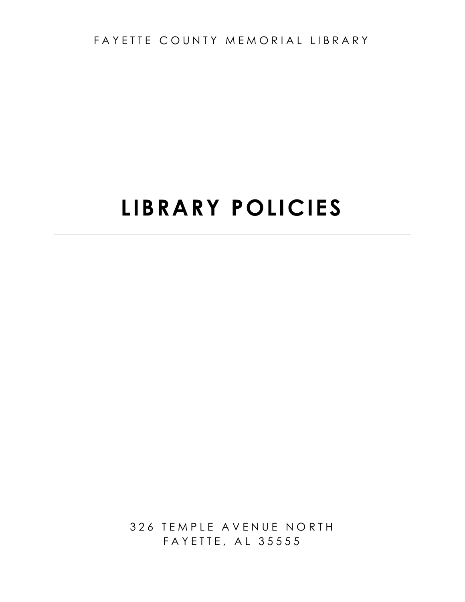FAYETTE COUNTY MEMORIAL LIBRARY

# **LIBRARY POLICIES**

326 TEMPLE AVENUE NORTH FAYETTE, AL 35555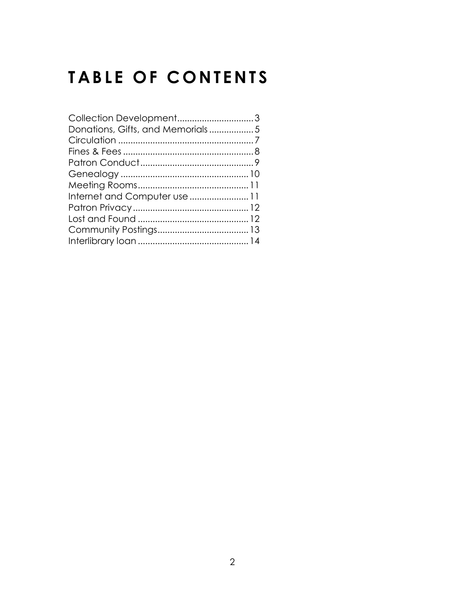## **TABLE OF CONTENTS**

| Collection Development3          |  |
|----------------------------------|--|
| Donations, Gifts, and Memorials5 |  |
|                                  |  |
|                                  |  |
|                                  |  |
|                                  |  |
|                                  |  |
| Internet and Computer use  11    |  |
|                                  |  |
|                                  |  |
|                                  |  |
|                                  |  |
|                                  |  |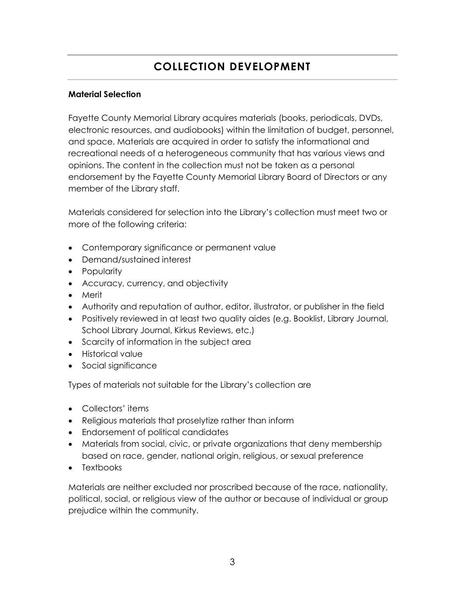## **COLLECTION DEVELOPMENT**

#### **Material Selection**

Fayette County Memorial Library acquires materials (books, periodicals, DVDs, electronic resources, and audiobooks) within the limitation of budget, personnel, and space. Materials are acquired in order to satisfy the informational and recreational needs of a heterogeneous community that has various views and opinions. The content in the collection must not be taken as a personal endorsement by the Fayette County Memorial Library Board of Directors or any member of the Library staff.

Materials considered for selection into the Library's collection must meet two or more of the following criteria:

- Contemporary significance or permanent value
- Demand/sustained interest
- Popularity
- Accuracy, currency, and objectivity
- Merit
- Authority and reputation of author, editor, illustrator, or publisher in the field
- Positively reviewed in at least two quality aides (e.g. Booklist, Library Journal, School Library Journal, Kirkus Reviews, etc.)
- Scarcity of information in the subject area
- Historical value
- Social significance

Types of materials not suitable for the Library's collection are

- Collectors' items
- Religious materials that proselytize rather than inform
- Endorsement of political candidates
- Materials from social, civic, or private organizations that deny membership based on race, gender, national origin, religious, or sexual preference
- Textbooks

Materials are neither excluded nor proscribed because of the race, nationality, political, social, or religious view of the author or because of individual or group prejudice within the community.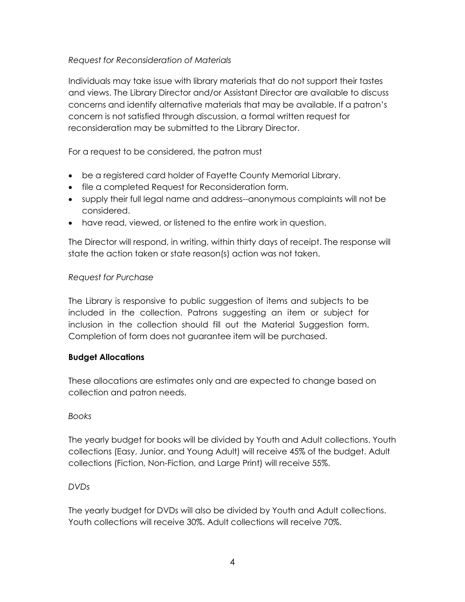#### *Request for Reconsideration of Materials*

Individuals may take issue with library materials that do not support their tastes and views. The Library Director and/or Assistant Director are available to discuss concerns and identify alternative materials that may be available. If a patron's concern is not satisfied through discussion, a formal written request for reconsideration may be submitted to the Library Director.

For a request to be considered, the patron must

- be a registered card holder of Fayette County Memorial Library.
- file a completed Request for Reconsideration form.
- supply their full legal name and address--anonymous complaints will not be considered.
- have read, viewed, or listened to the entire work in question.

The Director will respond, in writing, within thirty days of receipt. The response will state the action taken or state reason(s) action was not taken.

#### *Request for Purchase*

The Library is responsive to public suggestion of items and subjects to be included in the collection. Patrons suggesting an item or subject for inclusion in the collection should fill out the Material Suggestion form. Completion of form does not guarantee item will be purchased.

#### **Budget Allocations**

These allocations are estimates only and are expected to change based on collection and patron needs.

#### *Books*

The yearly budget for books will be divided by Youth and Adult collections. Youth collections (Easy, Junior, and Young Adult) will receive 45% of the budget. Adult collections (Fiction, Non-Fiction, and Large Print) will receive 55%.

#### *DVDs*

The yearly budget for DVDs will also be divided by Youth and Adult collections. Youth collections will receive 30%. Adult collections will receive 70%.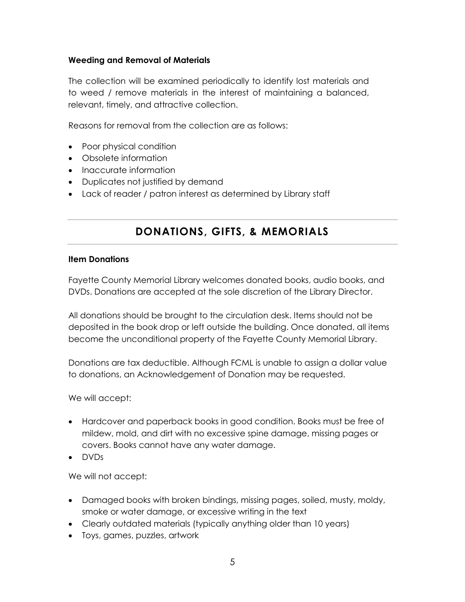#### **Weeding and Removal of Materials**

The collection will be examined periodically to identify lost materials and to weed / remove materials in the interest of maintaining a balanced, relevant, timely, and attractive collection.

Reasons for removal from the collection are as follows:

- Poor physical condition
- Obsolete information
- Inaccurate information
- Duplicates not justified by demand
- Lack of reader / patron interest as determined by Library staff

## **DONATIONS, GIFTS, & MEMORIALS**

#### **Item Donations**

Fayette County Memorial Library welcomes donated books, audio books, and DVDs. Donations are accepted at the sole discretion of the Library Director.

All donations should be brought to the circulation desk. Items should not be deposited in the book drop or left outside the building. Once donated, all items become the unconditional property of the Fayette County Memorial Library.

Donations are tax deductible. Although FCML is unable to assign a dollar value to donations, an Acknowledgement of Donation may be requested.

We will accept:

- Hardcover and paperback books in good condition. Books must be free of mildew, mold, and dirt with no excessive spine damage, missing pages or covers. Books cannot have any water damage.
- DVDs

We will not accept:

- Damaged books with broken bindings, missing pages, soiled, musty, moldy, smoke or water damage, or excessive writing in the text
- Clearly outdated materials (typically anything older than 10 years)
- Toys, games, puzzles, artwork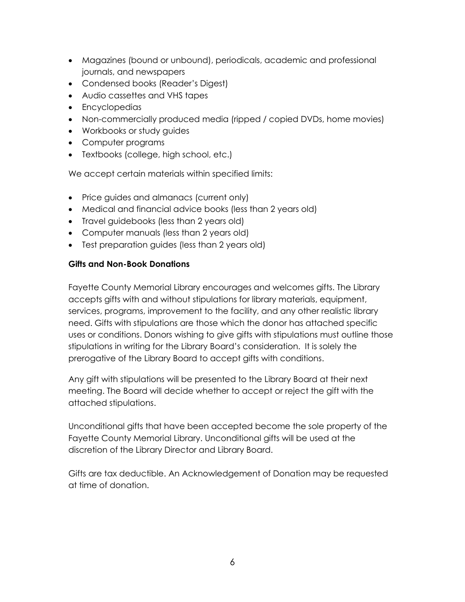- Magazines (bound or unbound), periodicals, academic and professional journals, and newspapers
- Condensed books (Reader's Digest)
- Audio cassettes and VHS tapes
- Encyclopedias
- Non-commercially produced media (ripped / copied DVDs, home movies)
- Workbooks or study guides
- Computer programs
- Textbooks (college, high school, etc.)

We accept certain materials within specified limits:

- Price guides and almanacs (current only)
- Medical and financial advice books (less than 2 years old)
- Travel guidebooks (less than 2 years old)
- Computer manuals (less than 2 years old)
- Test preparation guides (less than 2 years old)

#### **Gifts and Non-Book Donations**

Fayette County Memorial Library encourages and welcomes gifts. The Library accepts gifts with and without stipulations for library materials, equipment, services, programs, improvement to the facility, and any other realistic library need. Gifts with stipulations are those which the donor has attached specific uses or conditions. Donors wishing to give gifts with stipulations must outline those stipulations in writing for the Library Board's consideration. It is solely the prerogative of the Library Board to accept gifts with conditions.

Any gift with stipulations will be presented to the Library Board at their next meeting. The Board will decide whether to accept or reject the gift with the attached stipulations.

Unconditional gifts that have been accepted become the sole property of the Fayette County Memorial Library. Unconditional gifts will be used at the discretion of the Library Director and Library Board.

Gifts are tax deductible. An Acknowledgement of Donation may be requested at time of donation.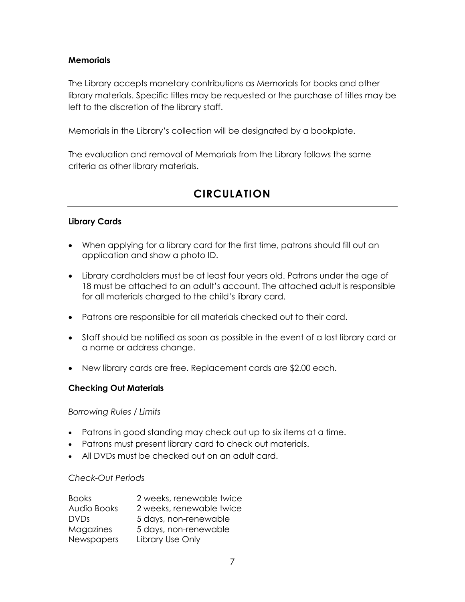#### **Memorials**

The Library accepts monetary contributions as Memorials for books and other library materials. Specific titles may be requested or the purchase of titles may be left to the discretion of the library staff.

Memorials in the Library's collection will be designated by a bookplate.

The evaluation and removal of Memorials from the Library follows the same criteria as other library materials.

## **CIRCULATION**

#### **Library Cards**

- When applying for a library card for the first time, patrons should fill out an application and show a photo ID.
- Library cardholders must be at least four years old. Patrons under the age of 18 must be attached to an adult's account. The attached adult is responsible for all materials charged to the child's library card.
- Patrons are responsible for all materials checked out to their card.
- Staff should be notified as soon as possible in the event of a lost library card or a name or address change.
- New library cards are free. Replacement cards are \$2.00 each.

#### **Checking Out Materials**

#### *Borrowing Rules / Limits*

- Patrons in good standing may check out up to six items at a time.
- Patrons must present library card to check out materials.
- All DVDs must be checked out on an adult card.

#### *Check-Out Periods*

| <b>Books</b> | 2 weeks, renewable twice |
|--------------|--------------------------|
| Audio Books  | 2 weeks, renewable twice |
| <b>DVDs</b>  | 5 days, non-renewable    |
| Magazines    | 5 days, non-renewable    |
| Newspapers   | Library Use Only         |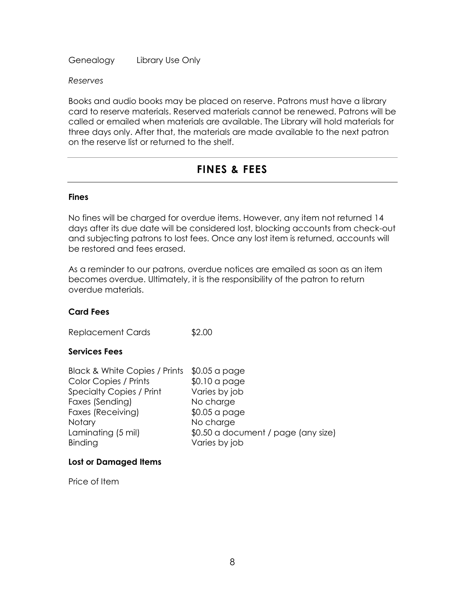Genealogy Library Use Only

*Reserves*

Books and audio books may be placed on reserve. Patrons must have a library card to reserve materials. Reserved materials cannot be renewed. Patrons will be called or emailed when materials are available. The Library will hold materials for three days only. After that, the materials are made available to the next patron on the reserve list or returned to the shelf.

### **FINES & FEES**

#### **Fines**

No fines will be charged for overdue items. However, any item not returned 14 days after its due date will be considered lost, blocking accounts from check-out and subjecting patrons to lost fees. Once any lost item is returned, accounts will be restored and fees erased.

As a reminder to our patrons, overdue notices are emailed as soon as an item becomes overdue. Ultimately, it is the responsibility of the patron to return overdue materials.

#### **Card Fees**

Replacement Cards \$2.00

#### **Services Fees**

| Black & White Copies / Prints \$0.05 a page |                                     |
|---------------------------------------------|-------------------------------------|
| Color Copies / Prints                       | $$0.10$ a page                      |
| <b>Specialty Copies / Print</b>             | Varies by job                       |
| Faxes (Sending)                             | No charge                           |
| Faxes (Receiving)                           | $$0.05$ a page                      |
| <b>Notary</b>                               | No charge                           |
| Laminating (5 mil)                          | \$0.50 a document / page (any size) |
| Binding                                     | Varies by job                       |

#### **Lost or Damaged Items**

Price of Item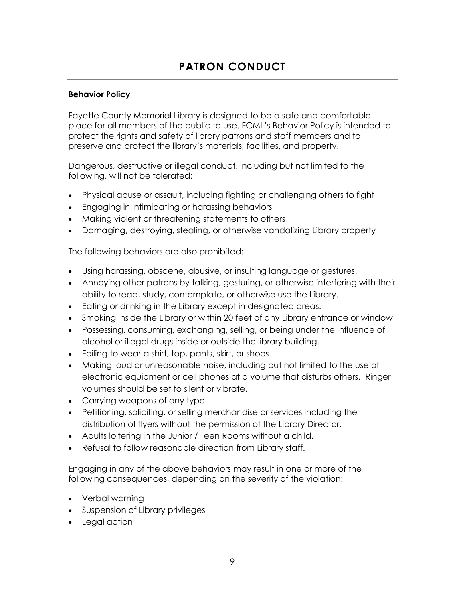## **PATRON CONDUCT**

#### **Behavior Policy**

Fayette County Memorial Library is designed to be a safe and comfortable place for all members of the public to use. FCML's Behavior Policy is intended to protect the rights and safety of library patrons and staff members and to preserve and protect the library's materials, facilities, and property.

Dangerous, destructive or illegal conduct, including but not limited to the following, will not be tolerated:

- Physical abuse or assault, including fighting or challenging others to fight
- Engaging in intimidating or harassing behaviors
- Making violent or threatening statements to others
- Damaging, destroying, stealing, or otherwise vandalizing Library property

The following behaviors are also prohibited:

- Using harassing, obscene, abusive, or insulting language or gestures.
- Annoying other patrons by talking, gesturing, or otherwise interfering with their ability to read, study, contemplate, or otherwise use the Library.
- Eating or drinking in the Library except in designated areas.
- Smoking inside the Library or within 20 feet of any Library entrance or window
- Possessing, consuming, exchanging, selling, or being under the influence of alcohol or illegal drugs inside or outside the library building.
- Failing to wear a shirt, top, pants, skirt, or shoes.
- Making loud or unreasonable noise, including but not limited to the use of electronic equipment or cell phones at a volume that disturbs others. Ringer volumes should be set to silent or vibrate.
- Carrying weapons of any type.
- Petitioning, soliciting, or selling merchandise or services including the distribution of flyers without the permission of the Library Director.
- Adults loitering in the Junior / Teen Rooms without a child.
- Refusal to follow reasonable direction from Library staff.

Engaging in any of the above behaviors may result in one or more of the following consequences, depending on the severity of the violation:

- Verbal warning
- Suspension of Library privileges
- Legal action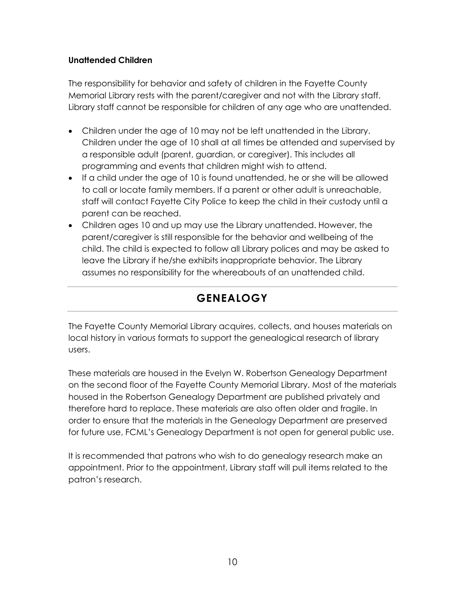#### **Unattended Children**

The responsibility for behavior and safety of children in the Fayette County Memorial Library rests with the parent/caregiver and not with the Library staff. Library staff cannot be responsible for children of any age who are unattended.

- Children under the age of 10 may not be left unattended in the Library. Children under the age of 10 shall at all times be attended and supervised by a responsible adult (parent, guardian, or caregiver). This includes all programming and events that children might wish to attend.
- If a child under the age of 10 is found unattended, he or she will be allowed to call or locate family members. If a parent or other adult is unreachable, staff will contact Fayette City Police to keep the child in their custody until a parent can be reached.
- Children ages 10 and up may use the Library unattended. However, the parent/caregiver is still responsible for the behavior and wellbeing of the child. The child is expected to follow all Library polices and may be asked to leave the Library if he/she exhibits inappropriate behavior. The Library assumes no responsibility for the whereabouts of an unattended child.

## **GENEALOGY**

The Fayette County Memorial Library acquires, collects, and houses materials on local history in various formats to support the genealogical research of library users.

These materials are housed in the Evelyn W. Robertson Genealogy Department on the second floor of the Fayette County Memorial Library. Most of the materials housed in the Robertson Genealogy Department are published privately and therefore hard to replace. These materials are also often older and fragile. In order to ensure that the materials in the Genealogy Department are preserved for future use, FCML's Genealogy Department is not open for general public use.

It is recommended that patrons who wish to do genealogy research make an appointment. Prior to the appointment, Library staff will pull items related to the patron's research.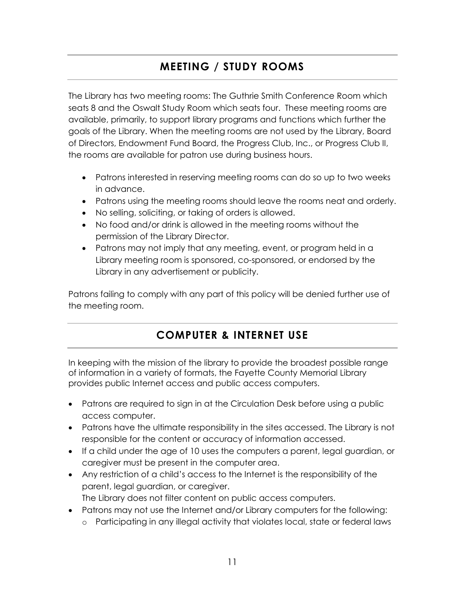## **MEETING / STUDY ROOMS**

The Library has two meeting rooms: The Guthrie Smith Conference Room which seats 8 and the Oswalt Study Room which seats four. These meeting rooms are available, primarily, to support library programs and functions which further the goals of the Library. When the meeting rooms are not used by the Library, Board of Directors, Endowment Fund Board, the Progress Club, Inc., or Progress Club II, the rooms are available for patron use during business hours.

- Patrons interested in reserving meeting rooms can do so up to two weeks in advance.
- Patrons using the meeting rooms should leave the rooms neat and orderly.
- No selling, soliciting, or taking of orders is allowed.
- No food and/or drink is allowed in the meeting rooms without the permission of the Library Director.
- Patrons may not imply that any meeting, event, or program held in a Library meeting room is sponsored, co-sponsored, or endorsed by the Library in any advertisement or publicity.

Patrons failing to comply with any part of this policy will be denied further use of the meeting room.

## **COMPUTER & INTERNET USE**

In keeping with the mission of the library to provide the broadest possible range of information in a variety of formats, the Fayette County Memorial Library provides public Internet access and public access computers.

- Patrons are required to sign in at the Circulation Desk before using a public access computer.
- Patrons have the ultimate responsibility in the sites accessed. The Library is not responsible for the content or accuracy of information accessed.
- If a child under the age of 10 uses the computers a parent, legal guardian, or caregiver must be present in the computer area.
- Any restriction of a child's access to the Internet is the responsibility of the parent, legal guardian, or caregiver. The Library does not filter content on public access computers.
- Patrons may not use the Internet and/or Library computers for the following:
	- o Participating in any illegal activity that violates local, state or federal laws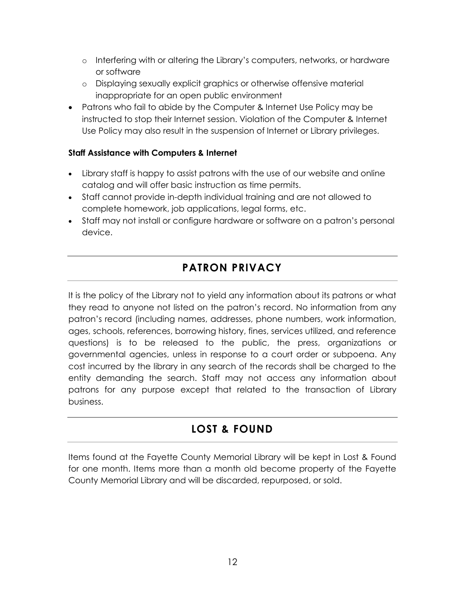- o Interfering with or altering the Library's computers, networks, or hardware or software
- o Displaying sexually explicit graphics or otherwise offensive material inappropriate for an open public environment
- Patrons who fail to abide by the Computer & Internet Use Policy may be instructed to stop their Internet session. Violation of the Computer & Internet Use Policy may also result in the suspension of Internet or Library privileges.

#### **Staff Assistance with Computers & Internet**

- Library staff is happy to assist patrons with the use of our website and online catalog and will offer basic instruction as time permits.
- Staff cannot provide in-depth individual training and are not allowed to complete homework, job applications, legal forms, etc.
- Staff may not install or configure hardware or software on a patron's personal device.

## **PATRON PRIVACY**

It is the policy of the Library not to yield any information about its patrons or what they read to anyone not listed on the patron's record. No information from any patron's record (including names, addresses, phone numbers, work information, ages, schools, references, borrowing history, fines, services utilized, and reference questions) is to be released to the public, the press, organizations or governmental agencies, unless in response to a court order or subpoena. Any cost incurred by the library in any search of the records shall be charged to the entity demanding the search. Staff may not access any information about patrons for any purpose except that related to the transaction of Library business.

## **LOST & FOUND**

Items found at the Fayette County Memorial Library will be kept in Lost & Found for one month. Items more than a month old become property of the Fayette County Memorial Library and will be discarded, repurposed, or sold.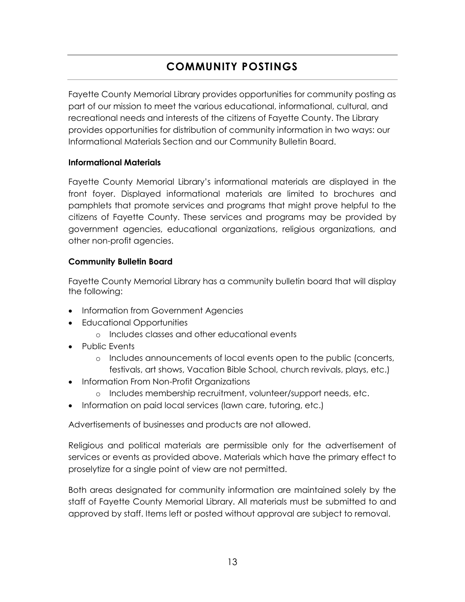## **COMMUNITY POSTINGS**

Fayette County Memorial Library provides opportunities for community posting as part of our mission to meet the various educational, informational, cultural, and recreational needs and interests of the citizens of Fayette County. The Library provides opportunities for distribution of community information in two ways: our Informational Materials Section and our Community Bulletin Board.

#### **Informational Materials**

Fayette County Memorial Library's informational materials are displayed in the front foyer. Displayed informational materials are limited to brochures and pamphlets that promote services and programs that might prove helpful to the citizens of Fayette County. These services and programs may be provided by government agencies, educational organizations, religious organizations, and other non-profit agencies.

#### **Community Bulletin Board**

Fayette County Memorial Library has a community bulletin board that will display the following:

- Information from Government Agencies
- Educational Opportunities
	- o Includes classes and other educational events
- Public Events
	- o Includes announcements of local events open to the public (concerts, festivals, art shows, Vacation Bible School, church revivals, plays, etc.)
- Information From Non-Profit Organizations
	- o Includes membership recruitment, volunteer/support needs, etc.
- Information on paid local services (lawn care, tutoring, etc.)

Advertisements of businesses and products are not allowed.

Religious and political materials are permissible only for the advertisement of services or events as provided above. Materials which have the primary effect to proselytize for a single point of view are not permitted.

Both areas designated for community information are maintained solely by the staff of Fayette County Memorial Library. All materials must be submitted to and approved by staff. Items left or posted without approval are subject to removal.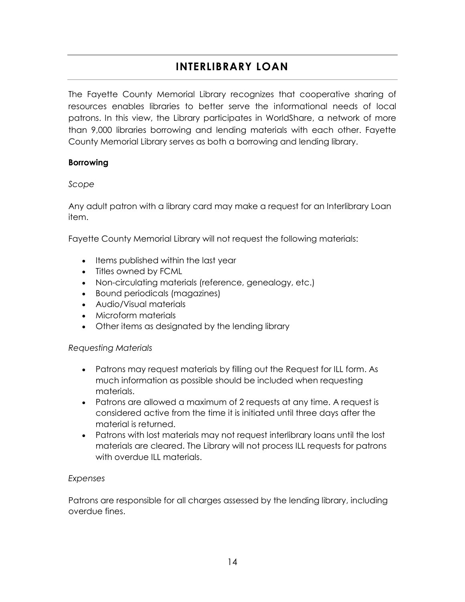## **INTERLIBRARY LOAN**

The Fayette County Memorial Library recognizes that cooperative sharing of resources enables libraries to better serve the informational needs of local patrons. In this view, the Library participates in WorldShare, a network of more than 9,000 libraries borrowing and lending materials with each other. Fayette County Memorial Library serves as both a borrowing and lending library.

#### **Borrowing**

#### *Scope*

Any adult patron with a library card may make a request for an Interlibrary Loan item.

Fayette County Memorial Library will not request the following materials:

- Items published within the last year
- Titles owned by FCML
- Non-circulating materials (reference, genealogy, etc.)
- Bound periodicals (magazines)
- Audio/Visual materials
- Microform materials
- Other items as designated by the lending library

#### *Requesting Materials*

- Patrons may request materials by filling out the Request for ILL form. As much information as possible should be included when requesting materials.
- Patrons are allowed a maximum of 2 requests at any time. A request is considered active from the time it is initiated until three days after the material is returned.
- Patrons with lost materials may not request interlibrary loans until the lost materials are cleared. The Library will not process ILL requests for patrons with overdue ILL materials.

#### *Expenses*

Patrons are responsible for all charges assessed by the lending library, including overdue fines.